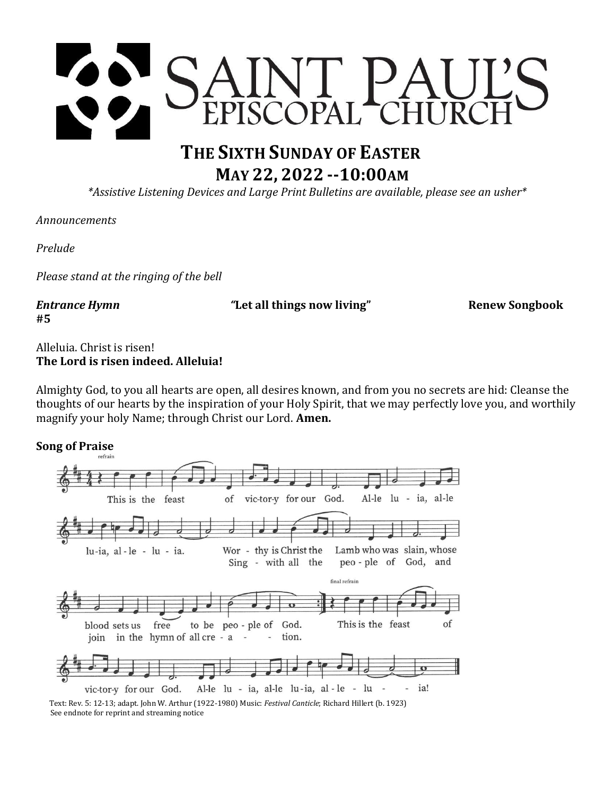# **THE SIXTH SUNDAY OF EASTER MAY 22, 2022 --10:00AM**

*\*Assistive Listening Devices and Large Print Bulletins are available, please see an usher\**

*Announcements* 

*Prelude* 

*Please stand at the ringing of the bell*

**#5**

*Entrance Hymn "***Let all things now living" Renew Songbook** 

#### Alleluia. Christ is risen! **The Lord is risen indeed. Alleluia!**

Almighty God, to you all hearts are open, all desires known, and from you no secrets are hid: Cleanse the thoughts of our hearts by the inspiration of your Holy Spirit, that we may perfectly love you, and worthily magnify your holy Name; through Christ our Lord. **Amen.**

#### **Song of Praise**



Text: Rev. 5: 12-13; adapt. John W. Arthur (1922-1980) Music: *Festival Canticle*; Richard Hillert (b. 1923) See endnote for reprint and streaming notice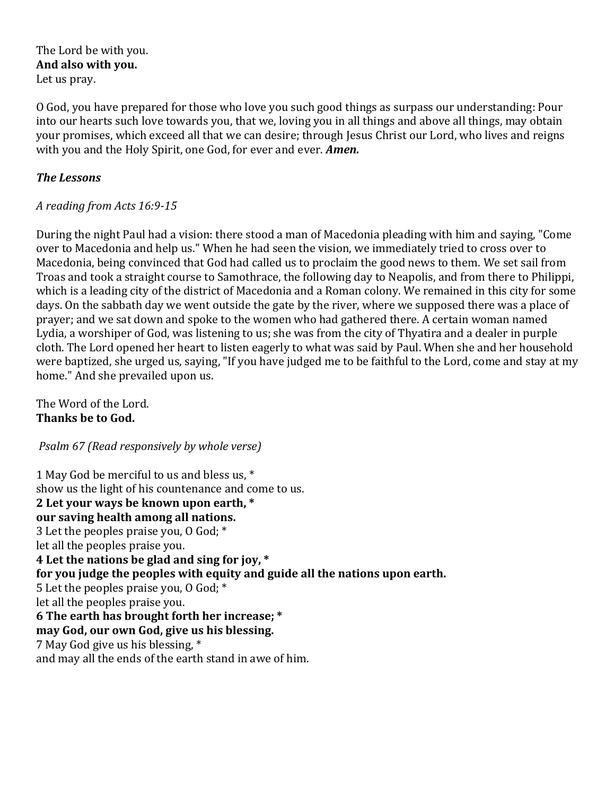The Lord be with you. **And also with you.** Let us pray.

O God, you have prepared for those who love you such good things as surpass our understanding: Pour into our hearts such love towards you, that we, loving you in all things and above all things, may obtain your promises, which exceed all that we can desire; through Jesus Christ our Lord, who lives and reigns with you and the Holy Spirit, one God, for ever and ever. *Amen.*

### *The Lessons*

### *A reading from Acts 16:9-15*

During the night Paul had a vision: there stood a man of Macedonia pleading with him and saying, "Come over to Macedonia and help us." When he had seen the vision, we immediately tried to cross over to Macedonia, being convinced that God had called us to proclaim the good news to them. We set sail from Troas and took a straight course to Samothrace, the following day to Neapolis, and from there to Philippi, which is a leading city of the district of Macedonia and a Roman colony. We remained in this city for some days. On the sabbath day we went outside the gate by the river, where we supposed there was a place of prayer; and we sat down and spoke to the women who had gathered there. A certain woman named Lydia, a worshiper of God, was listening to us; she was from the city of Thyatira and a dealer in purple cloth. The Lord opened her heart to listen eagerly to what was said by Paul. When she and her household were baptized, she urged us, saying, "If you have judged me to be faithful to the Lord, come and stay at my home." And she prevailed upon us.

The Word of the Lord. **Thanks be to God.**

*Psalm 67 (Read responsively by whole verse)*

1 May God be merciful to us and bless us, \* show us the light of his countenance and come to us. **2 Let your ways be known upon earth, \* our saving health among all nations.** 3 Let the peoples praise you, O God; \* let all the peoples praise you. **4 Let the nations be glad and sing for joy, \* for you judge the peoples with equity and guide all the nations upon earth.** 5 Let the peoples praise you, O God; \* let all the peoples praise you. **6 The earth has brought forth her increase; \* may God, our own God, give us his blessing.** 7 May God give us his blessing, \* and may all the ends of the earth stand in awe of him.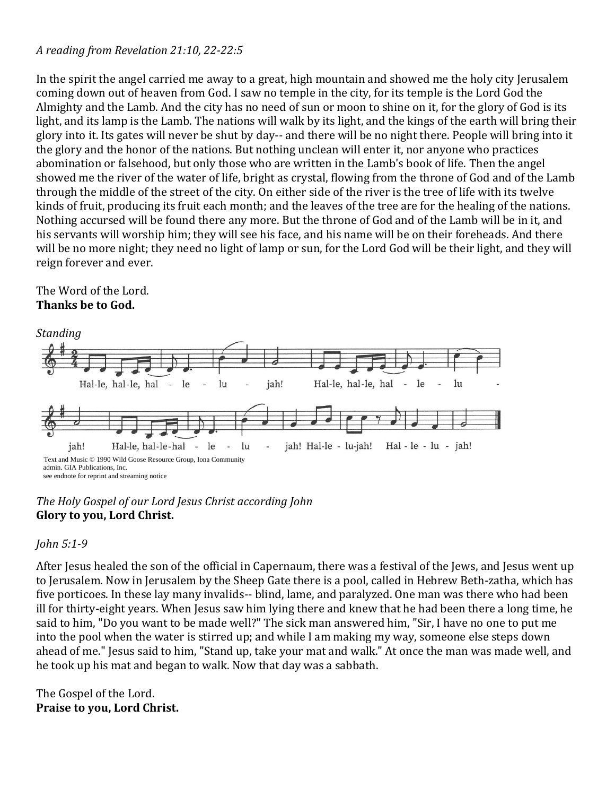#### *A reading from Revelation 21:10, 22-22:5*

In the spirit the angel carried me away to a great, high mountain and showed me the holy city Jerusalem coming down out of heaven from God. I saw no temple in the city, for its temple is the Lord God the Almighty and the Lamb. And the city has no need of sun or moon to shine on it, for the glory of God is its light, and its lamp is the Lamb. The nations will walk by its light, and the kings of the earth will bring their glory into it. Its gates will never be shut by day-- and there will be no night there. People will bring into it the glory and the honor of the nations. But nothing unclean will enter it, nor anyone who practices abomination or falsehood, but only those who are written in the Lamb's book of life. Then the angel showed me the river of the water of life, bright as crystal, flowing from the throne of God and of the Lamb through the middle of the street of the city. On either side of the river is the tree of life with its twelve kinds of fruit, producing its fruit each month; and the leaves of the tree are for the healing of the nations. Nothing accursed will be found there any more. But the throne of God and of the Lamb will be in it, and his servants will worship him; they will see his face, and his name will be on their foreheads. And there will be no more night; they need no light of lamp or sun, for the Lord God will be their light, and they will reign forever and ever.

The Word of the Lord. **Thanks be to God.**



### *The Holy Gospel of our Lord Jesus Christ according John* **Glory to you, Lord Christ.**

#### *John 5:1-9*

After Jesus healed the son of the official in Capernaum, there was a festival of the Jews, and Jesus went up to Jerusalem. Now in Jerusalem by the Sheep Gate there is a pool, called in Hebrew Beth-zatha, which has five porticoes. In these lay many invalids-- blind, lame, and paralyzed. One man was there who had been ill for thirty-eight years. When Jesus saw him lying there and knew that he had been there a long time, he said to him, "Do you want to be made well?" The sick man answered him, "Sir, I have no one to put me into the pool when the water is stirred up; and while I am making my way, someone else steps down ahead of me." Jesus said to him, "Stand up, take your mat and walk." At once the man was made well, and he took up his mat and began to walk. Now that day was a sabbath.

The Gospel of the Lord. **Praise to you, Lord Christ.**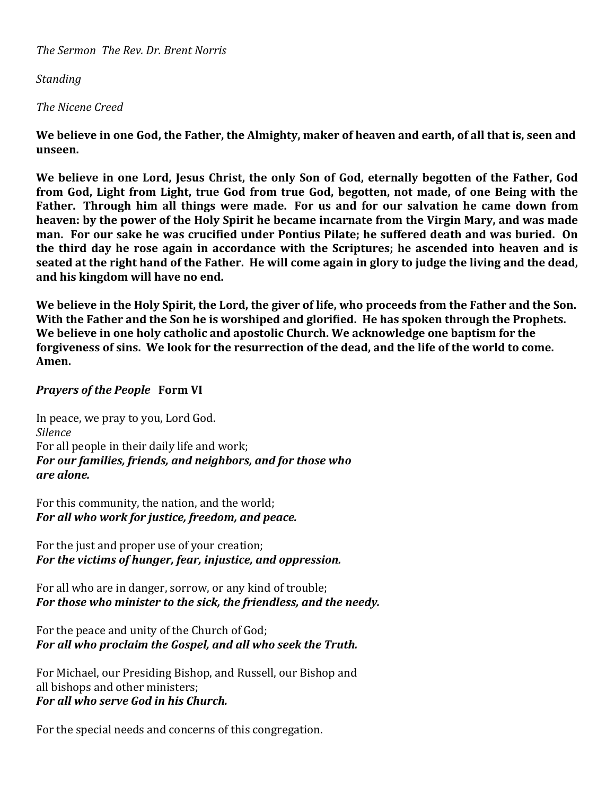*The Sermon The Rev. Dr. Brent Norris*

*Standing*

*The Nicene Creed*

**We believe in one God, the Father, the Almighty, maker of heaven and earth, of all that is, seen and unseen.**

**We believe in one Lord, Jesus Christ, the only Son of God, eternally begotten of the Father, God from God, Light from Light, true God from true God, begotten, not made, of one Being with the Father. Through him all things were made. For us and for our salvation he came down from heaven: by the power of the Holy Spirit he became incarnate from the Virgin Mary, and was made man. For our sake he was crucified under Pontius Pilate; he suffered death and was buried. On the third day he rose again in accordance with the Scriptures; he ascended into heaven and is seated at the right hand of the Father. He will come again in glory to judge the living and the dead, and his kingdom will have no end.**

**We believe in the Holy Spirit, the Lord, the giver of life, who proceeds from the Father and the Son. With the Father and the Son he is worshiped and glorified. He has spoken through the Prophets. We believe in one holy catholic and apostolic Church. We acknowledge one baptism for the forgiveness of sins. We look for the resurrection of the dead, and the life of the world to come. Amen.**

### *Prayers of the People* **Form VI**

In peace, we pray to you, Lord God. *Silence* For all people in their daily life and work; *For our families, friends, and neighbors, and for those who are alone.*

For this community, the nation, and the world; *For all who work for justice, freedom, and peace.*

For the just and proper use of your creation; *For the victims of hunger, fear, injustice, and oppression.*

For all who are in danger, sorrow, or any kind of trouble; *For those who minister to the sick, the friendless, and the needy.*

For the peace and unity of the Church of God; *For all who proclaim the Gospel, and all who seek the Truth.*

For Michael, our Presiding Bishop, and Russell, our Bishop and all bishops and other ministers; *For all who serve God in his Church.*

For the special needs and concerns of this congregation.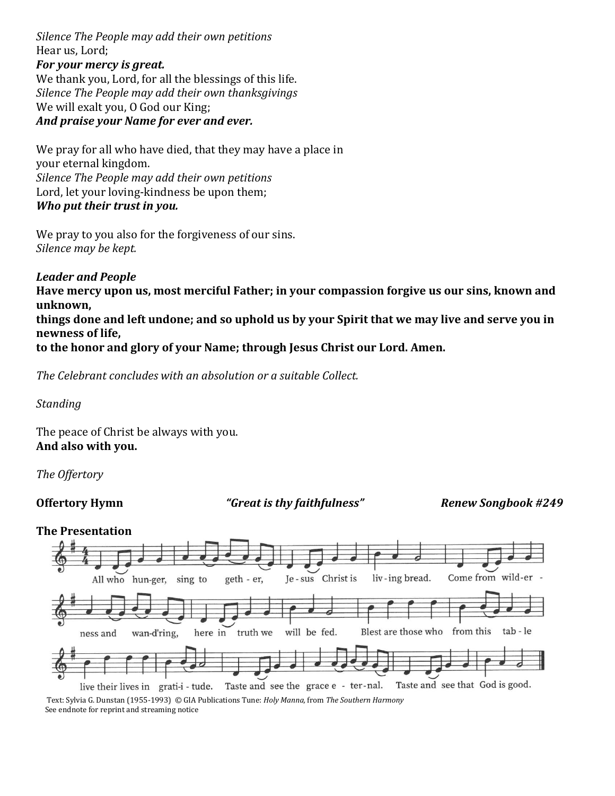*Silence The People may add their own petitions* Hear us, Lord; *For your mercy is great.* We thank you, Lord, for all the blessings of this life. *Silence The People may add their own thanksgivings* We will exalt you, O God our King; *And praise your Name for ever and ever.*

We pray for all who have died, that they may have a place in your eternal kingdom. *Silence The People may add their own petitions* Lord, let your loving-kindness be upon them; *Who put their trust in you.*

We pray to you also for the forgiveness of our sins. *Silence may be kept.*

#### *Leader and People*

**Have mercy upon us, most merciful Father; in your compassion forgive us our sins, known and unknown, things done and left undone; and so uphold us by your Spirit that we may live and serve you in newness of life, to the honor and glory of your Name; through Jesus Christ our Lord. Amen.**

*The Celebrant concludes with an absolution or a suitable Collect.*

*Standing*

The peace of Christ be always with you. **And also with you.**

*The Offertory*

**Offertory Hymn** *"Great is thy faithfulness" Renew Songbook #249*



 Text: Sylvia G. Dunstan (1955-1993) © GIA Publications Tune: *Holy Manna,* from *The Southern Harmony* See endnote for reprint and streaming notice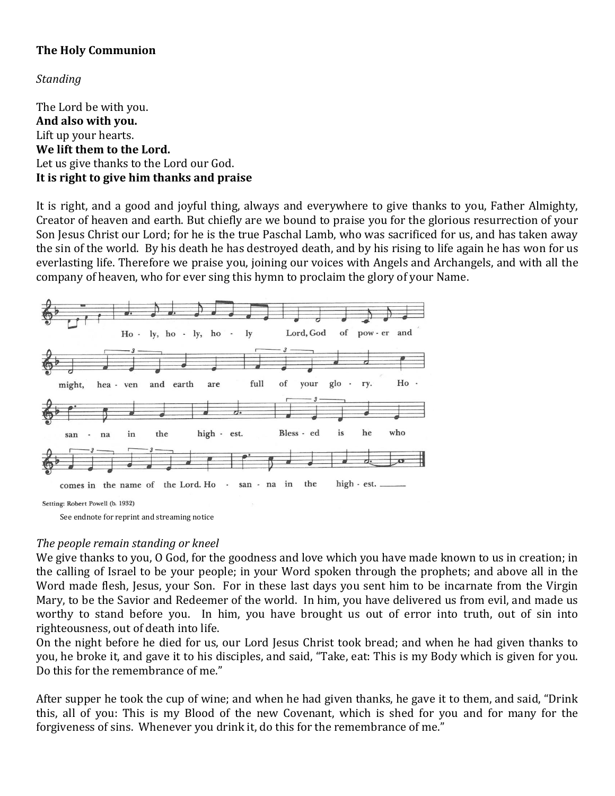### **The Holy Communion**

#### *Standing*

The Lord be with you. **And also with you.** Lift up your hearts. **We lift them to the Lord.** Let us give thanks to the Lord our God. **It is right to give him thanks and praise**

It is right, and a good and joyful thing, always and everywhere to give thanks to you, Father Almighty, Creator of heaven and earth. But chiefly are we bound to praise you for the glorious resurrection of your Son Jesus Christ our Lord; for he is the true Paschal Lamb, who was sacrificed for us, and has taken away the sin of the world. By his death he has destroyed death, and by his rising to life again he has won for us everlasting life. Therefore we praise you, joining our voices with Angels and Archangels, and with all the company of heaven, who for ever sing this hymn to proclaim the glory of your Name.



See endnote for reprint and streaming notice

#### *The people remain standing or kneel*

We give thanks to you, O God, for the goodness and love which you have made known to us in creation; in the calling of Israel to be your people; in your Word spoken through the prophets; and above all in the Word made flesh, Jesus, your Son. For in these last days you sent him to be incarnate from the Virgin Mary, to be the Savior and Redeemer of the world. In him, you have delivered us from evil, and made us worthy to stand before you. In him, you have brought us out of error into truth, out of sin into righteousness, out of death into life.

On the night before he died for us, our Lord Jesus Christ took bread; and when he had given thanks to you, he broke it, and gave it to his disciples, and said, "Take, eat: This is my Body which is given for you. Do this for the remembrance of me."

After supper he took the cup of wine; and when he had given thanks, he gave it to them, and said, "Drink this, all of you: This is my Blood of the new Covenant, which is shed for you and for many for the forgiveness of sins. Whenever you drink it, do this for the remembrance of me."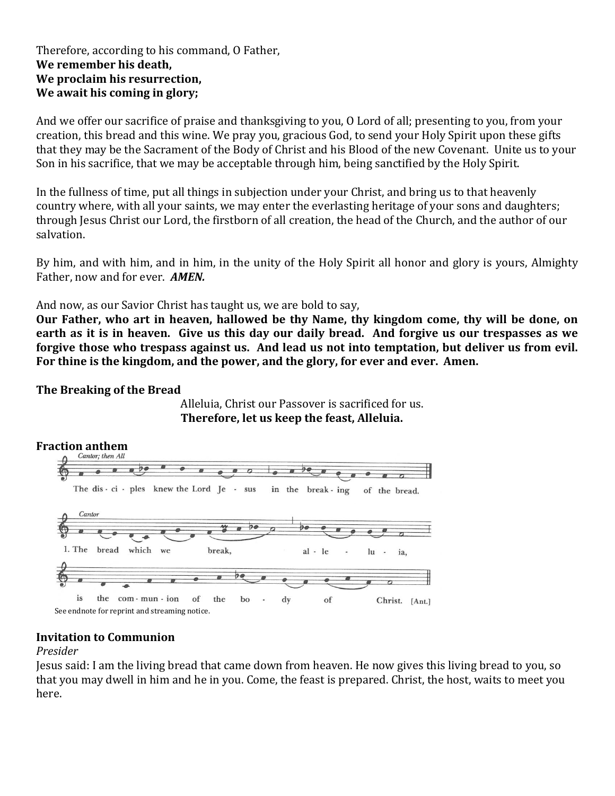#### Therefore, according to his command, O Father, **We remember his death, We proclaim his resurrection, We await his coming in glory;**

And we offer our sacrifice of praise and thanksgiving to you, O Lord of all; presenting to you, from your creation, this bread and this wine. We pray you, gracious God, to send your Holy Spirit upon these gifts that they may be the Sacrament of the Body of Christ and his Blood of the new Covenant. Unite us to your Son in his sacrifice, that we may be acceptable through him, being sanctified by the Holy Spirit.

In the fullness of time, put all things in subjection under your Christ, and bring us to that heavenly country where, with all your saints, we may enter the everlasting heritage of your sons and daughters; through Jesus Christ our Lord, the firstborn of all creation, the head of the Church, and the author of our salvation.

By him, and with him, and in him, in the unity of the Holy Spirit all honor and glory is yours, Almighty Father, now and for ever. *AMEN.*

And now, as our Savior Christ has taught us, we are bold to say,

**Our Father, who art in heaven, hallowed be thy Name, thy kingdom come, thy will be done, on earth as it is in heaven. Give us this day our daily bread. And forgive us our trespasses as we forgive those who trespass against us. And lead us not into temptation, but deliver us from evil. For thine is the kingdom, and the power, and the glory, for ever and ever. Amen.**

#### **The Breaking of the Bread**

Alleluia, Christ our Passover is sacrificed for us. **Therefore, let us keep the feast, Alleluia.**



#### **Invitation to Communion**

#### *Presider*

Jesus said: I am the living bread that came down from heaven. He now gives this living bread to you, so that you may dwell in him and he in you. Come, the feast is prepared. Christ, the host, waits to meet you here.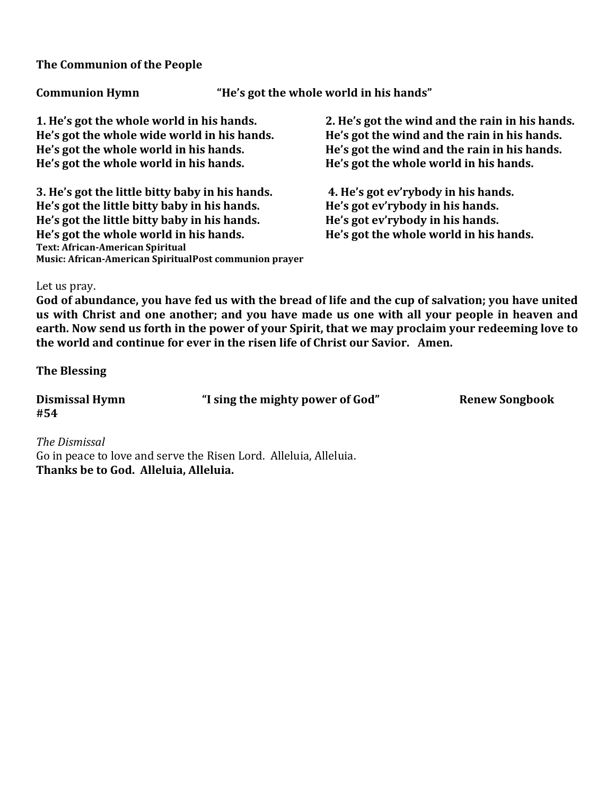**The Communion of the People**

**Communion Hymn "He's got the whole world in his hands"**

**1. He's got the whole world in his hands. He's got the whole wide world in his hands. He's got the whole world in his hands. He's got the whole world in his hands. 2. He's got the wind and the rain in his hands. He's got the wind and the rain in his hands. He's got the wind and the rain in his hands. He's got the whole world in his hands. 3. He's got the little bitty baby in his hands. He's got the little bitty baby in his hands. He's got the little bitty baby in his hands. He's got the whole world in his hands. 4. He's got ev'rybody in his hands. He's got ev'rybody in his hands. He's got ev'rybody in his hands. He's got the whole world in his hands. Text: African-American Spiritual Music: African-American SpiritualPost communion prayer**

Let us pray.

**God of abundance, you have fed us with the bread of life and the cup of salvation; you have united us with Christ and one another; and you have made us one with all your people in heaven and earth. Now send us forth in the power of your Spirit, that we may proclaim your redeeming love to the world and continue for ever in the risen life of Christ our Savior. Amen.**

**The Blessing**

**Dismissal Hymn "I sing the mighty power of God" Renew Songbook #54**

*The Dismissal* Go in peace to love and serve the Risen Lord. Alleluia, Alleluia. **Thanks be to God. Alleluia, Alleluia.**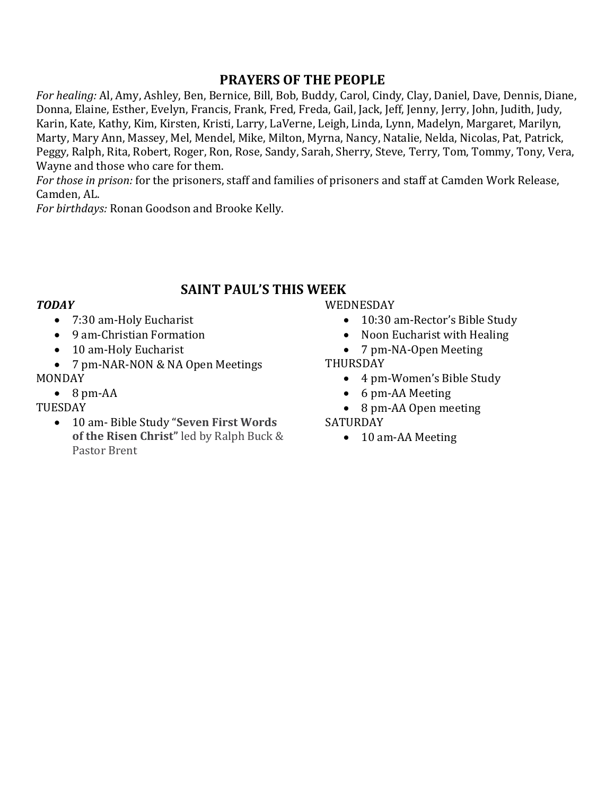### **PRAYERS OF THE PEOPLE**

*For healing:* Al, Amy, Ashley, Ben, Bernice, Bill, Bob, Buddy, Carol, Cindy, Clay, Daniel, Dave, Dennis, Diane, Donna, Elaine, Esther, Evelyn, Francis, Frank, Fred, Freda, Gail, Jack, Jeff, Jenny, Jerry, John, Judith, Judy, Karin, Kate, Kathy, Kim, Kirsten, Kristi, Larry, LaVerne, Leigh, Linda, Lynn, Madelyn, Margaret, Marilyn, Marty, Mary Ann, Massey, Mel, Mendel, Mike, Milton, Myrna, Nancy, Natalie, Nelda, Nicolas, Pat, Patrick, Peggy, Ralph, Rita, Robert, Roger, Ron, Rose, Sandy, Sarah, Sherry, Steve, Terry, Tom, Tommy, Tony, Vera, Wayne and those who care for them.

*For those in prison:* for the prisoners, staff and families of prisoners and staff at Camden Work Release, Camden, AL.

*For birthdays:* Ronan Goodson and Brooke Kelly.

### **SAINT PAUL'S THIS WEEK**

#### *TODAY*

- 7:30 am-Holy Eucharist
- 9 am-Christian Formation
- 10 am-Holy Eucharist
- 7 pm-NAR-NON & NA Open Meetings MONDAY
- - $\bullet$  8 pm-AA

### TUESDAY

• 10 am- Bible Study "**Seven First Words of the Risen Christ"** led by Ralph Buck & Pastor Brent

### WEDNESDAY

- 10:30 am-Rector's Bible Study
- Noon Eucharist with Healing
- 7 pm-NA-Open Meeting THURSDAY
- - 4 pm-Women's Bible Study
	- 6 pm-AA Meeting
	- 8 pm-AA Open meeting

### **SATURDAY**

• 10 am-AA Meeting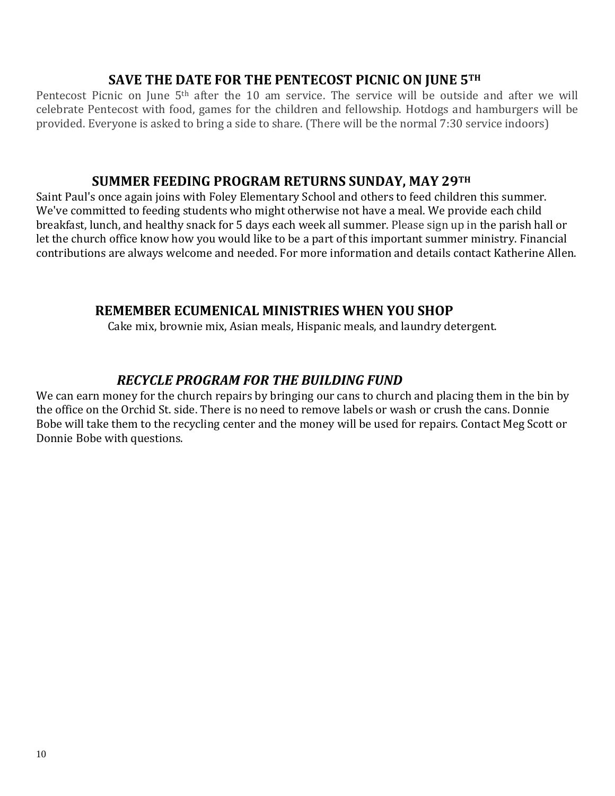### **SAVE THE DATE FOR THE PENTECOST PICNIC ON JUNE 5TH**

Pentecost Picnic on June 5<sup>th</sup> after the 10 am service. The service will be outside and after we will celebrate Pentecost with food, games for the children and fellowship. Hotdogs and hamburgers will be provided. Everyone is asked to bring a side to share. (There will be the normal 7:30 service indoors)

### **SUMMER FEEDING PROGRAM RETURNS SUNDAY, MAY 29TH**

Saint Paul's once again joins with Foley Elementary School and others to feed children this summer. We've committed to feeding students who might otherwise not have a meal. We provide each child breakfast, lunch, and healthy snack for 5 days each week all summer. Please sign up in the parish hall or let the church office know how you would like to be a part of this important summer ministry. Financial contributions are always welcome and needed. For more information and details contact Katherine Allen.

### **REMEMBER ECUMENICAL MINISTRIES WHEN YOU SHOP**

Cake mix, brownie mix, Asian meals, Hispanic meals, and laundry detergent.

## *RECYCLE PROGRAM FOR THE BUILDING FUND*

We can earn money for the church repairs by bringing our cans to church and placing them in the bin by the office on the Orchid St. side. There is no need to remove labels or wash or crush the cans. Donnie Bobe will take them to the recycling center and the money will be used for repairs. Contact Meg Scott or Donnie Bobe with questions.